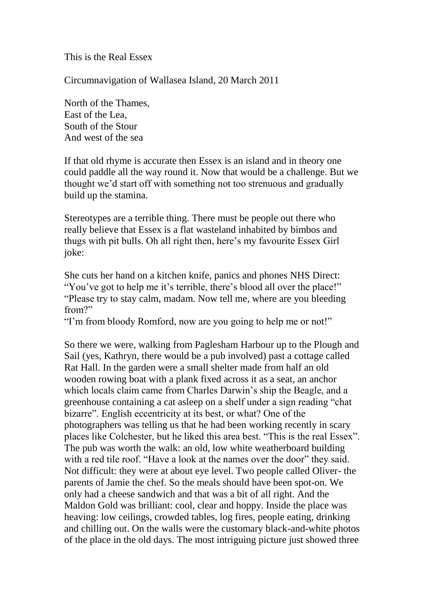This is the Real Essex

Circumnavigation of Wallasea Island, 20 March 2011

North of the Thames, East of the Lea, South of the Stour And west of the sea

If that old rhyme is accurate then Essex is an island and in theory one could paddle all the way round it. Now that would be a challenge. But we thought we'd start off with something not too strenuous and gradually build up the stamina.

Stereotypes are a terrible thing. There must be people out there who really believe that Essex is a flat wasteland inhabited by bimbos and thugs with pit bulls. Oh all right then, here's my favourite Essex Girl joke:

She cuts her hand on a kitchen knife, panics and phones NHS Direct: "You've got to help me it's terrible, there's blood all over the place!" "Please try to stay calm, madam. Now tell me, where are you bleeding from?"

"I'm from bloody Romford, now are you going to help me or not!"

So there we were, walking from Paglesham Harbour up to the Plough and Sail (yes, Kathryn, there would be a pub involved) past a cottage called Rat Hall. In the garden were a small shelter made from half an old wooden rowing boat with a plank fixed across it as a seat, an anchor which locals claim came from Charles Darwin's ship the Beagle, and a greenhouse containing a cat asleep on a shelf under a sign reading "chat bizarre". English eccentricity at its best, or what? One of the photographers was telling us that he had been working recently in scary places like Colchester, but he liked this area best. "This is the real Essex". The pub was worth the walk: an old, low white weatherboard building with a red tile roof. "Have a look at the names over the door" they said. Not difficult: they were at about eye level. Two people called Oliver- the parents of Jamie the chef. So the meals should have been spot-on. We only had a cheese sandwich and that was a bit of all right. And the Maldon Gold was brilliant: cool, clear and hoppy. Inside the place was heaving: low ceilings, crowded tables, log fires, people eating, drinking and chilling out. On the walls were the customary black-and-white photos of the place in the old days. The most intriguing picture just showed three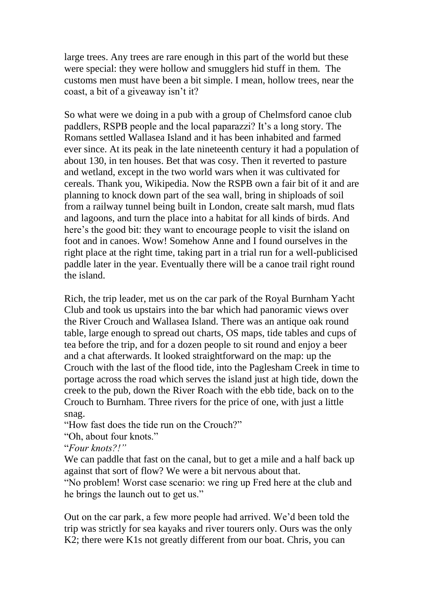large trees. Any trees are rare enough in this part of the world but these were special: they were hollow and smugglers hid stuff in them. The customs men must have been a bit simple. I mean, hollow trees, near the coast, a bit of a giveaway isn't it?

So what were we doing in a pub with a group of Chelmsford canoe club paddlers, RSPB people and the local paparazzi? It's a long story. The Romans settled Wallasea Island and it has been inhabited and farmed ever since. At its peak in the late nineteenth century it had a population of about 130, in ten houses. Bet that was cosy. Then it reverted to pasture and wetland, except in the two world wars when it was cultivated for cereals. Thank you, Wikipedia. Now the RSPB own a fair bit of it and are planning to knock down part of the sea wall, bring in shiploads of soil from a railway tunnel being built in London, create salt marsh, mud flats and lagoons, and turn the place into a habitat for all kinds of birds. And here's the good bit: they want to encourage people to visit the island on foot and in canoes. Wow! Somehow Anne and I found ourselves in the right place at the right time, taking part in a trial run for a well-publicised paddle later in the year. Eventually there will be a canoe trail right round the island.

Rich, the trip leader, met us on the car park of the Royal Burnham Yacht Club and took us upstairs into the bar which had panoramic views over the River Crouch and Wallasea Island. There was an antique oak round table, large enough to spread out charts, OS maps, tide tables and cups of tea before the trip, and for a dozen people to sit round and enjoy a beer and a chat afterwards. It looked straightforward on the map: up the Crouch with the last of the flood tide, into the Paglesham Creek in time to portage across the road which serves the island just at high tide, down the creek to the pub, down the River Roach with the ebb tide, back on to the Crouch to Burnham. Three rivers for the price of one, with just a little snag.

"How fast does the tide run on the Crouch?"

"Oh, about four knots."

"*Four knots?!"*

We can paddle that fast on the canal, but to get a mile and a half back up against that sort of flow? We were a bit nervous about that.

"No problem! Worst case scenario: we ring up Fred here at the club and he brings the launch out to get us."

Out on the car park, a few more people had arrived. We'd been told the trip was strictly for sea kayaks and river tourers only. Ours was the only K2; there were K1s not greatly different from our boat. Chris, you can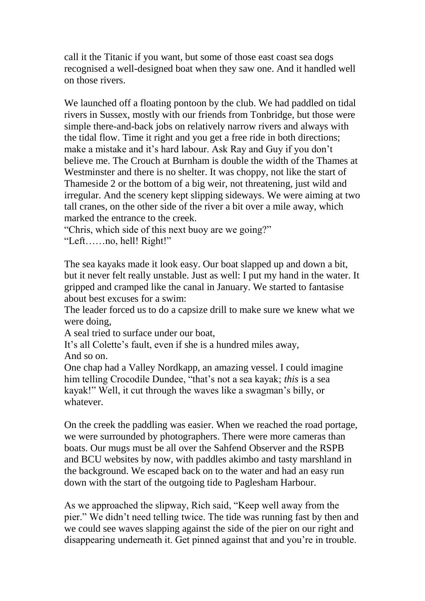call it the Titanic if you want, but some of those east coast sea dogs recognised a well-designed boat when they saw one. And it handled well on those rivers.

We launched off a floating pontoon by the club. We had paddled on tidal rivers in Sussex, mostly with our friends from Tonbridge, but those were simple there-and-back jobs on relatively narrow rivers and always with the tidal flow. Time it right and you get a free ride in both directions; make a mistake and it's hard labour. Ask Ray and Guy if you don't believe me. The Crouch at Burnham is double the width of the Thames at Westminster and there is no shelter. It was choppy, not like the start of Thameside 2 or the bottom of a big weir, not threatening, just wild and irregular. And the scenery kept slipping sideways. We were aiming at two tall cranes, on the other side of the river a bit over a mile away, which marked the entrance to the creek.

"Chris, which side of this next buoy are we going?"

"Left……no, hell! Right!"

The sea kayaks made it look easy. Our boat slapped up and down a bit, but it never felt really unstable. Just as well: I put my hand in the water. It gripped and cramped like the canal in January. We started to fantasise about best excuses for a swim:

The leader forced us to do a capsize drill to make sure we knew what we were doing,

A seal tried to surface under our boat,

It's all Colette's fault, even if she is a hundred miles away, And so on.

One chap had a Valley Nordkapp, an amazing vessel. I could imagine him telling Crocodile Dundee, "that's not a sea kayak; *this* is a sea kayak!" Well, it cut through the waves like a swagman's billy, or whatever.

On the creek the paddling was easier. When we reached the road portage, we were surrounded by photographers. There were more cameras than boats. Our mugs must be all over the Sahfend Observer and the RSPB and BCU websites by now, with paddles akimbo and tasty marshland in the background. We escaped back on to the water and had an easy run down with the start of the outgoing tide to Paglesham Harbour.

As we approached the slipway, Rich said, "Keep well away from the pier." We didn't need telling twice. The tide was running fast by then and we could see waves slapping against the side of the pier on our right and disappearing underneath it. Get pinned against that and you're in trouble.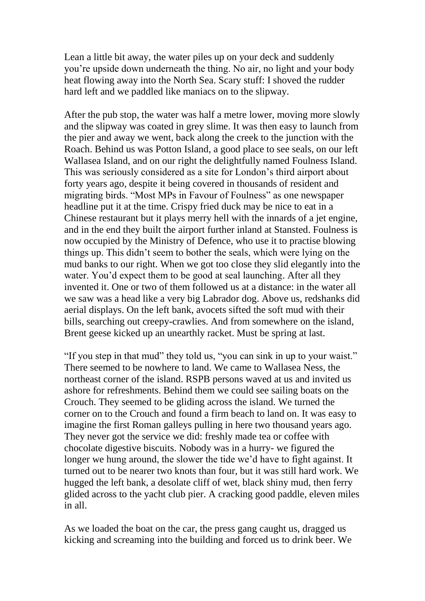Lean a little bit away, the water piles up on your deck and suddenly you're upside down underneath the thing. No air, no light and your body heat flowing away into the North Sea. Scary stuff: I shoved the rudder hard left and we paddled like maniacs on to the slipway.

After the pub stop, the water was half a metre lower, moving more slowly and the slipway was coated in grey slime. It was then easy to launch from the pier and away we went, back along the creek to the junction with the Roach. Behind us was Potton Island, a good place to see seals, on our left Wallasea Island, and on our right the delightfully named Foulness Island. This was seriously considered as a site for London's third airport about forty years ago, despite it being covered in thousands of resident and migrating birds. "Most MPs in Favour of Foulness" as one newspaper headline put it at the time. Crispy fried duck may be nice to eat in a Chinese restaurant but it plays merry hell with the innards of a jet engine, and in the end they built the airport further inland at Stansted. Foulness is now occupied by the Ministry of Defence, who use it to practise blowing things up. This didn't seem to bother the seals, which were lying on the mud banks to our right. When we got too close they slid elegantly into the water. You'd expect them to be good at seal launching. After all they invented it. One or two of them followed us at a distance: in the water all we saw was a head like a very big Labrador dog. Above us, redshanks did aerial displays. On the left bank, avocets sifted the soft mud with their bills, searching out creepy-crawlies. And from somewhere on the island, Brent geese kicked up an unearthly racket. Must be spring at last.

"If you step in that mud" they told us, "you can sink in up to your waist." There seemed to be nowhere to land. We came to Wallasea Ness, the northeast corner of the island. RSPB persons waved at us and invited us ashore for refreshments. Behind them we could see sailing boats on the Crouch. They seemed to be gliding across the island. We turned the corner on to the Crouch and found a firm beach to land on. It was easy to imagine the first Roman galleys pulling in here two thousand years ago. They never got the service we did: freshly made tea or coffee with chocolate digestive biscuits. Nobody was in a hurry- we figured the longer we hung around, the slower the tide we'd have to fight against. It turned out to be nearer two knots than four, but it was still hard work. We hugged the left bank, a desolate cliff of wet, black shiny mud, then ferry glided across to the yacht club pier. A cracking good paddle, eleven miles in all.

As we loaded the boat on the car, the press gang caught us, dragged us kicking and screaming into the building and forced us to drink beer. We